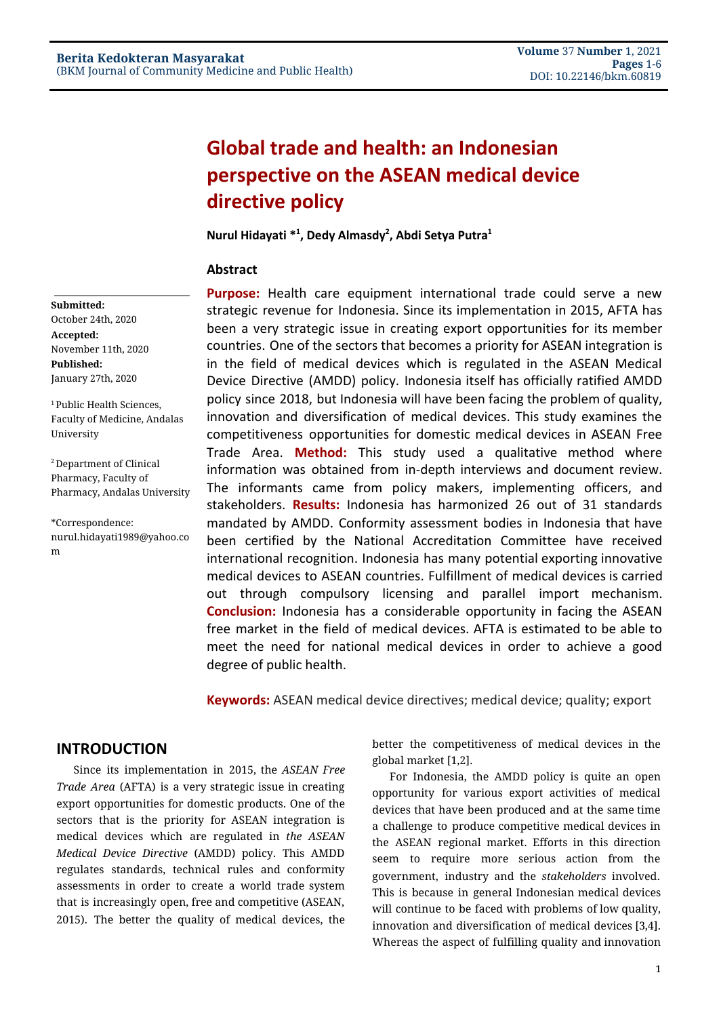# **Global trade and health: an Indonesian perspective on the ASEAN medical device directive policy**

**Nurul Hidayati \* 1 , Dedy Almasdy 2 , Abdi Setya Putra 1**

### **Abstract**

**Purpose:** Health care equipment international trade could serve a new strategic revenue for Indonesia. Since its implementation in 2015, AFTA has been a very strategic issue in creating export opportunities for its member countries. One of the sectors that becomes a priority for ASEAN integration is in the field of medical devices which is regulated in the ASEAN Medical Device Directive (AMDD) policy. Indonesia itself has officially ratified AMDD policy since 2018, but Indonesia will have been facing the problem of quality, innovation and diversification of medical devices. This study examines the competitiveness opportunities for domestic medical devices in ASEAN Free Trade Area. **Method:** This study used a qualitative method where information was obtained from in-depth interviews and document review. The informants came from policy makers, implementing officers, and stakeholders. **Results:** Indonesia has harmonized 26 out of 31 standards mandated by AMDD. Conformity assessment bodies in Indonesia that have been certified by the National Accreditation Committee have received international recognition. Indonesia has many potential exporting innovative medical devices to ASEAN countries. Fulfillment of medical devices is carried out through compulsory licensing and parallel import mechanism. **Conclusion:** Indonesia has a considerable opportunity in facing the ASEAN free market in the field of medical devices. AFTA is estimated to be able to meet the need for national medical devices in order to achieve a good degree of public health.

**Keywords:** ASEAN medical device directives; medical device; quality; export

## **INTRODUCTION**

Since its implementation in 2015, the *ASEAN Free Trade Area* (AFTA) is a very strategic issue in creating export opportunities for domestic products. One of the sectors that is the priority for ASEAN integration is medical devices which are regulated in *the ASEAN Medical Device Directive* (AMDD) policy. This AMDD regulates standards, technical rules and conformity assessments in order to create a world trade system that is increasingly open, free and competitive (ASEAN, 2015). The better the quality of medical devices, the

better the competitiveness of medical devices in the global market [\[1,2\].](https://paperpile.com/c/jXDOJM/iKxN+HYkn)

For Indonesia, the AMDD policy is quite an open opportunity for various export activities of medical devices that have been produced and at the same time a challenge to produce competitive medical devices in the ASEAN regional market. Efforts in this direction seem to require more serious action from the government, industry and the *stakeholders* involved. This is because in general Indonesian medical devices will continue to be faced with problems of low quality, innovation and diversification of medical devices [\[3,4\].](https://paperpile.com/c/jXDOJM/FtYI+LJW1) Whereas the aspect of fulfilling quality and innovation

## **Submitted:**

October 24th, 2020 **Accepted:** November 11th, 2020 **Published:** January 27th, 2020

<sup>1</sup> Public Health Sciences, Faculty of Medicine, Andalas University

<sup>2</sup> Department of Clinical Pharmacy, Faculty of Pharmacy, Andalas University

\*Correspondence: nurul.hidayati1989@yahoo.co m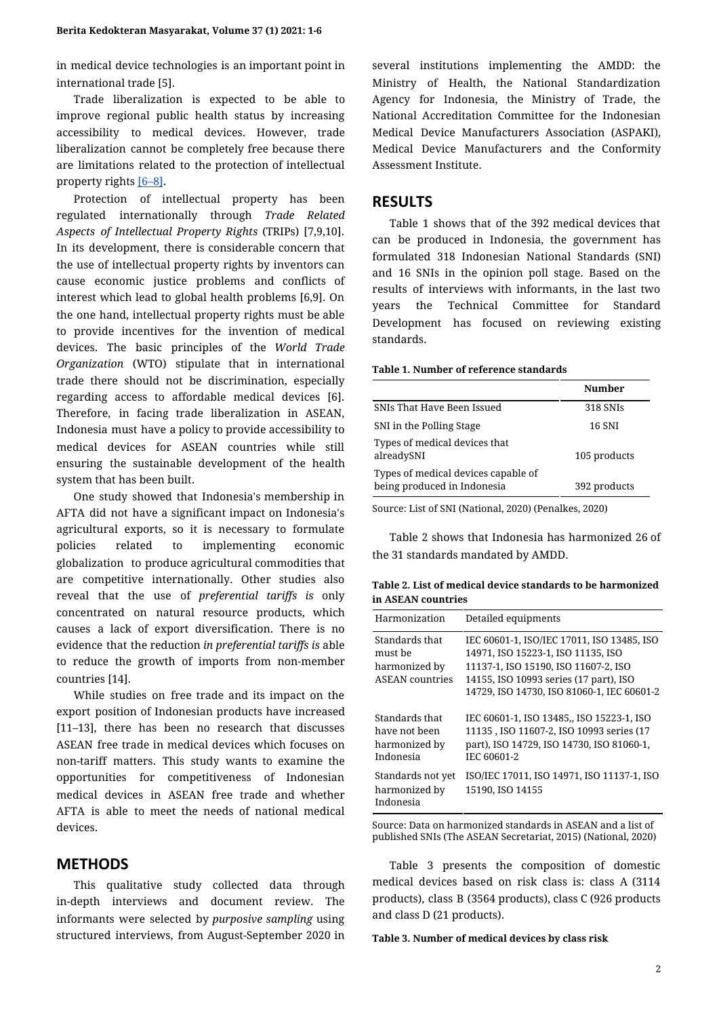in medical device technologies is an important point in international trade [\[5\].](https://paperpile.com/c/jXDOJM/peiT)

Trade liberalization is expected to be able to improve regional public health status by increasing accessibility to medical devices. However, trade liberalization cannot be completely free because there are limitations related to the protection of intellectual property rights [\[6–8\]](https://paperpile.com/c/jXDOJM/Srgb+ZMrQ+gNer).

Protection of intellectual property has been regulated internationally through *Trade Related Aspects of Intellectual Property Rights* (TRIPs) [\[7,9,10\]](https://paperpile.com/c/jXDOJM/ZMrQ+Nm0e+KTEH). In its development, there is considerable concern that the use of intellectual property rights by inventors can cause economic justice problems and conflicts of interest which lead to global health problems [\[6,9\]](https://paperpile.com/c/jXDOJM/Srgb+Nm0e). On the one hand, intellectual property rights must be able to provide incentives for the invention of medical devices. The basic principles of the *World Trade Organization* (WTO) stipulate that in international trade there should not be discrimination, especially regarding access to affordable medical devices [\[6\]](https://paperpile.com/c/jXDOJM/Srgb). Therefore, in facing trade liberalization in ASEAN, Indonesia must have a policy to provide accessibility to medical devices for ASEAN countries while still ensuring the sustainable development of the health system that has been built.

One study showed that Indonesia's membership in AFTA did not have a significant impact on Indonesia's agricultural exports, so it is necessary to formulate policies related to implementing economic globalization to produce agricultural commodities that are competitive internationally. Other studies also reveal that the use of *preferential tariffs is* only concentrated on natural resource products, which causes a lack of export diversification. There is no evidence that the reduction *in preferential tariffs is* able to reduce the growth of imports from non-member countries [\[14\]](https://paperpile.com/c/jXDOJM/gHaH).

While studies on free trade and its impact on the export position of Indonesian products have increased [\[11–13\],](https://paperpile.com/c/jXDOJM/gBxj+K0Qk+9M0w) there has been no research that discusses ASEAN free trade in medical devices which focuses on non-tariff matters. This study wants to examine the opportunities for competitiveness of Indonesian medical devices in ASEAN free trade and whether AFTA is able to meet the needs of national medical devices.

## **METHODS**

This qualitative study collected data through in-depth interviews and document review. The informants were selected by *purposive sampling* using structured interviews, from August-September 2020 in several institutions implementing the AMDD: the Ministry of Health, the National Standardization Agency for Indonesia, the Ministry of Trade, the National Accreditation Committee for the Indonesian Medical Device Manufacturers Association (ASPAKI), Medical Device Manufacturers and the Conformity Assessment Institute.

## **RESULTS**

Table 1 shows that of the 392 medical devices that can be produced in Indonesia, the government has formulated 318 Indonesian National Standards (SNI) and 16 SNIs in the opinion poll stage. Based on the results of interviews with informants, in the last two years the Technical Committee for Standard Development has focused on reviewing existing standards.

#### **Table 1. Number of reference standards**

|                                                                    | Number       |
|--------------------------------------------------------------------|--------------|
| SNIs That Have Been Issued                                         | 318 SNIs     |
| SNI in the Polling Stage                                           | 16 SNI       |
| Types of medical devices that<br>alreadySNI                        | 105 products |
| Types of medical devices capable of<br>being produced in Indonesia | 392 products |

Source: List of SNI (National, 2020) (Penalkes, 2020)

Table 2 shows that Indonesia has harmonized 26 of the 31 standards mandated by AMDD.

| Table 2. List of medical device standards to be harmonized |  |
|------------------------------------------------------------|--|
| in ASEAN countries                                         |  |

| Harmonization                                                        | Detailed equipments                                                                                                                                                                                              |
|----------------------------------------------------------------------|------------------------------------------------------------------------------------------------------------------------------------------------------------------------------------------------------------------|
| Standards that<br>must be<br>harmonized by<br><b>ASEAN</b> countries | IEC 60601-1, ISO/IEC 17011, ISO 13485, ISO<br>14971, ISO 15223-1, ISO 11135, ISO<br>11137-1, ISO 15190, ISO 11607-2, ISO<br>14155, ISO 10993 series (17 part), ISO<br>14729, ISO 14730, ISO 81060-1, IEC 60601-2 |
| Standards that<br>have not been<br>harmonized by<br>Indonesia        | IEC 60601-1, ISO 13485,, ISO 15223-1, ISO<br>11135, ISO 11607-2, ISO 10993 series (17<br>part), ISO 14729, ISO 14730, ISO 81060-1,<br>IEC 60601-2                                                                |
| Standards not yet<br>harmonized by<br>Indonesia                      | ISO/IEC 17011, ISO 14971, ISO 11137-1, ISO<br>15190, ISO 14155                                                                                                                                                   |

Source: Data on harmonized standards in ASEAN and a list of published SNIs (The ASEAN Secretariat, 2015) (National, 2020)

Table 3 presents the composition of domestic medical devices based on risk class is: class A (3114 products), class B (3564 products), class C (926 products and class D (21 products).

**Table 3. Number of medical devices by class risk**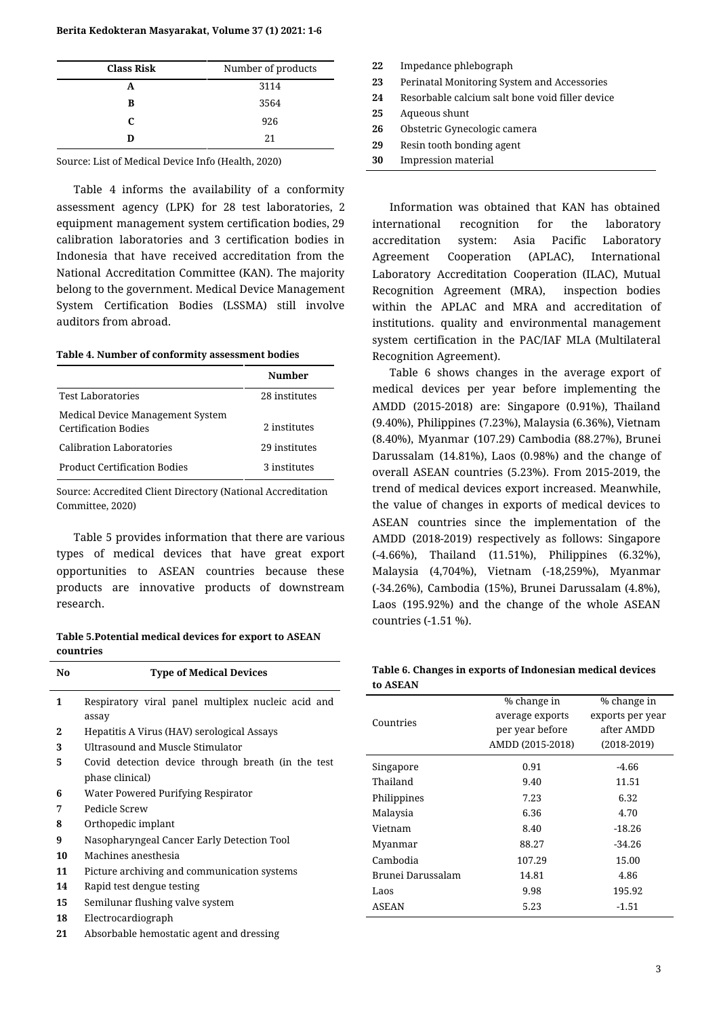#### **Berita Kedokteran Masyarakat, Volume 37 (1) 2021: 1-6**

| <b>Class Risk</b> | Number of products |  |
|-------------------|--------------------|--|
| А                 | 3114               |  |
| в                 | 3564               |  |
| C                 | 926                |  |
| n                 | 21                 |  |

Source: List of Medical Device Info (Health, 2020)

Table 4 informs the availability of a conformity assessment agency (LPK) for 28 test laboratories, 2 equipment management system certification bodies, 29 calibration laboratories and 3 certification bodies in Indonesia that have received accreditation from the National Accreditation Committee (KAN). The majority belong to the government. Medical Device Management System Certification Bodies (LSSMA) still involve auditors from abroad.

#### **Table 4. Number of conformity assessment bodies**

|                                                                 | Number        |
|-----------------------------------------------------------------|---------------|
| <b>Test Laboratories</b>                                        | 28 institutes |
| Medical Device Management System<br><b>Certification Bodies</b> | 2 institutes  |
| Calibration Laboratories                                        | 29 institutes |
| <b>Product Certification Bodies</b>                             | 3 institutes  |

Source: Accredited Client Directory (National Accreditation Committee, 2020)

Table 5 provides information that there are various types of medical devices that have great export opportunities to ASEAN countries because these products are innovative products of downstream research.

**Table 5.Potential medical devices for export to ASEAN countries**

| N <sub>0</sub> | <b>Type of Medical Devices</b>                     |  |
|----------------|----------------------------------------------------|--|
| 1              | Respiratory viral panel multiplex nucleic acid and |  |
|                | assay                                              |  |
| 2              | Hepatitis A Virus (HAV) serological Assays         |  |
| 3              | Ultrasound and Muscle Stimulator                   |  |
| 5              | Covid detection device through breath (in the test |  |
|                | phase clinical)                                    |  |
| 6              | Water Powered Purifying Respirator                 |  |
| 7              | Pedicle Screw                                      |  |
| 8              | Orthopedic implant                                 |  |
| 9              | Nasopharyngeal Cancer Early Detection Tool         |  |
| 10             | Machines anesthesia                                |  |
| 11             | Picture archiving and communication systems        |  |
| 14             | Rapid test dengue testing                          |  |
| 15             | Semilunar flushing valve system                    |  |
| 18             | Electrocardiograph                                 |  |
| 21             | Absorbable hemostatic agent and dressing           |  |

| 22 | Impedance phlebograph                           |
|----|-------------------------------------------------|
| 23 | Perinatal Monitoring System and Accessories     |
| 24 | Resorbable calcium salt bone void filler device |
| 25 | Aqueous shunt                                   |
| 26 | Obstetric Gynecologic camera                    |
| 29 | Resin tooth bonding agent                       |
| 30 | <b>Impression material</b>                      |

Information was obtained that KAN has obtained international recognition for the laboratory accreditation system: Asia Pacific Laboratory Agreement Cooperation (APLAC), International Laboratory Accreditation Cooperation (ILAC), Mutual Recognition Agreement (MRA), inspection bodies within the APLAC and MRA and accreditation of institutions. quality and environmental management system certification in the PAC/IAF MLA (Multilateral Recognition Agreement).

Table 6 shows changes in the average export of medical devices per year before implementing the AMDD (2015-2018) are: Singapore (0.91%), Thailand (9.40%), Philippines (7.23%), Malaysia (6.36%), Vietnam (8.40%), Myanmar (107.29) Cambodia (88.27%), Brunei Darussalam (14.81%), Laos (0.98%) and the change of overall ASEAN countries (5.23%). From 2015-2019, the trend of medical devices export increased. Meanwhile, the value of changes in exports of medical devices to ASEAN countries since the implementation of the AMDD (2018-2019) respectively as follows: Singapore (-4.66%), Thailand (11.51%), Philippines (6.32%), Malaysia (4,704%), Vietnam (-18,259%), Myanmar (-34.26%), Cambodia (15%), Brunei Darussalam (4.8%), Laos (195.92%) and the change of the whole ASEAN countries (-1.51 %).

#### **Table 6. Changes in exports of Indonesian medical devices to ASEAN**

|                   | % change in      | % change in      |
|-------------------|------------------|------------------|
| Countries         | average exports  | exports per year |
|                   | per year before  | after AMDD       |
|                   | AMDD (2015-2018) | $(2018 - 2019)$  |
| Singapore         | 0.91             | -4.66            |
| Thailand          | 9.40             | 11.51            |
| Philippines       | 7.23             | 6.32             |
| Malaysia          | 6.36             | 4.70             |
| Vietnam           | 8.40             | $-18.26$         |
| Myanmar           | 88.27            | $-34.26$         |
| Cambodia          | 107.29           | 15.00            |
| Brunei Darussalam | 14.81            | 4.86             |
| Laos              | 9.98             | 195.92           |
| <b>ASEAN</b>      | 5.23             | -1.51            |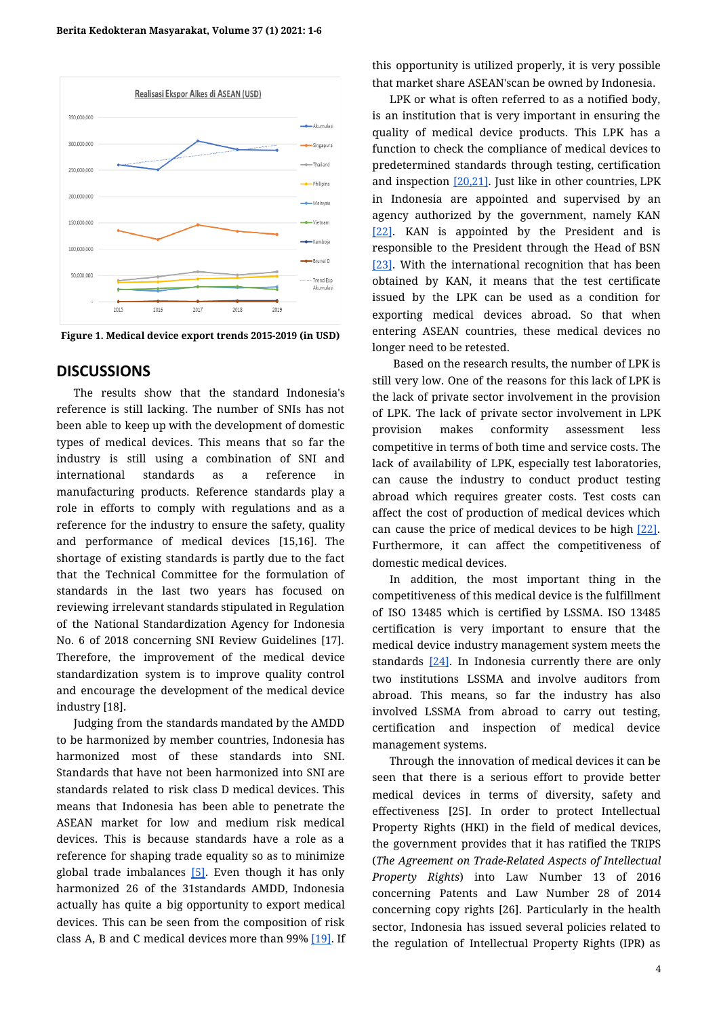

**Figure 1. Medical device export trends 2015-2019 (in USD)**

## **DISCUSSIONS**

The results show that the standard Indonesia's reference is still lacking. The number of SNIs has not been able to keep up with the development of domestic types of medical devices. This means that so far the industry is still using a combination of SNI and international standards as a reference in manufacturing products. Reference standards play a role in efforts to comply with regulations and as a reference for the industry to ensure the safety, quality and performance of medical devices [\[15,16\]](https://paperpile.com/c/jXDOJM/g8Km+WILq). The shortage of existing standards is partly due to the fact that the Technical Committee for the formulation of standards in the last two years has focused on reviewing irrelevant standards stipulated in Regulation of the National Standardization Agency for Indonesia No. 6 of 2018 concerning SNI Review Guidelines [\[17\].](https://paperpile.com/c/jXDOJM/BQC1) Therefore, the improvement of the medical device standardization system is to improve quality control and encourage the development of the medical device industry [\[18\]](https://paperpile.com/c/jXDOJM/X0ah).

Judging from the standards mandated by the AMDD to be harmonized by member countries, Indonesia has harmonized most of these standards into SNI. Standards that have not been harmonized into SNI are standards related to risk class D medical devices. This means that Indonesia has been able to penetrate the ASEAN market for low and medium risk medical devices. This is because standards have a role as a reference for shaping trade equality so as to minimize global trade imbalances [\[5\]](https://paperpile.com/c/jXDOJM/peiT). Even though it has only harmonized 26 of the 31standards AMDD, Indonesia actually has quite a big opportunity to export medical devices. This can be seen from the composition of risk class A, B and C medical devices more than 99% [\[19\].](https://paperpile.com/c/jXDOJM/n66F) If this opportunity is utilized properly, it is very possible that market share ASEAN'scan be owned by Indonesia.

LPK or what is often referred to as a notified body, is an institution that is very important in ensuring the quality of medical device products. This LPK has a function to check the compliance of medical devices to predetermined standards through testing, certification and inspection [\[20,21\].](https://paperpile.com/c/jXDOJM/fRTO+Iv38) Just like in other countries, LPK in Indonesia are appointed and supervised by an agency authorized by the government, namely KAN [\[22\]](https://paperpile.com/c/jXDOJM/zJqc). KAN is appointed by the President and is responsible to the President through the Head of BSN [\[23\]](https://paperpile.com/c/jXDOJM/wmwE). With the international recognition that has been obtained by KAN, it means that the test certificate issued by the LPK can be used as a condition for exporting medical devices abroad. So that when entering ASEAN countries, these medical devices no longer need to be retested.

Based on the research results, the number of LPK is still very low. One of the reasons for this lack of LPK is the lack of private sector involvement in the provision of LPK. The lack of private sector involvement in LPK provision makes conformity assessment less competitive in terms of both time and service costs. The lack of availability of LPK, especially test laboratories, can cause the industry to conduct product testing abroad which requires greater costs. Test costs can affect the cost of production of medical devices which can cause the price of medical devices to be high [\[22\].](https://paperpile.com/c/jXDOJM/zJqc) Furthermore, it can affect the competitiveness of domestic medical devices.

In addition, the most important thing in the competitiveness of this medical device is the fulfillment of ISO 13485 which is certified by LSSMA. ISO 13485 certification is very important to ensure that the medical device industry management system meets the standards  $[24]$ . In Indonesia currently there are only two institutions LSSMA and involve auditors from abroad. This means, so far the industry has also involved LSSMA from abroad to carry out testing, certification and inspection of medical device management systems.

Through the innovation of medical devices it can be seen that there is a serious effort to provide better medical devices in terms of diversity, safety and effectiveness [\[25\].](https://paperpile.com/c/jXDOJM/gIbl) In order to protect Intellectual Property Rights (HKI) in the field of medical devices, the government provides that it has ratified the TRIPS (*The Agreement on Trade-Related Aspects of Intellectual Property Rights*) into Law Number 13 of 2016 concerning Patents and Law Number 28 of 2014 concerning copy rights [\[26\]](https://paperpile.com/c/jXDOJM/bU9c). Particularly in the health sector, Indonesia has issued several policies related to the regulation of Intellectual Property Rights (IPR) as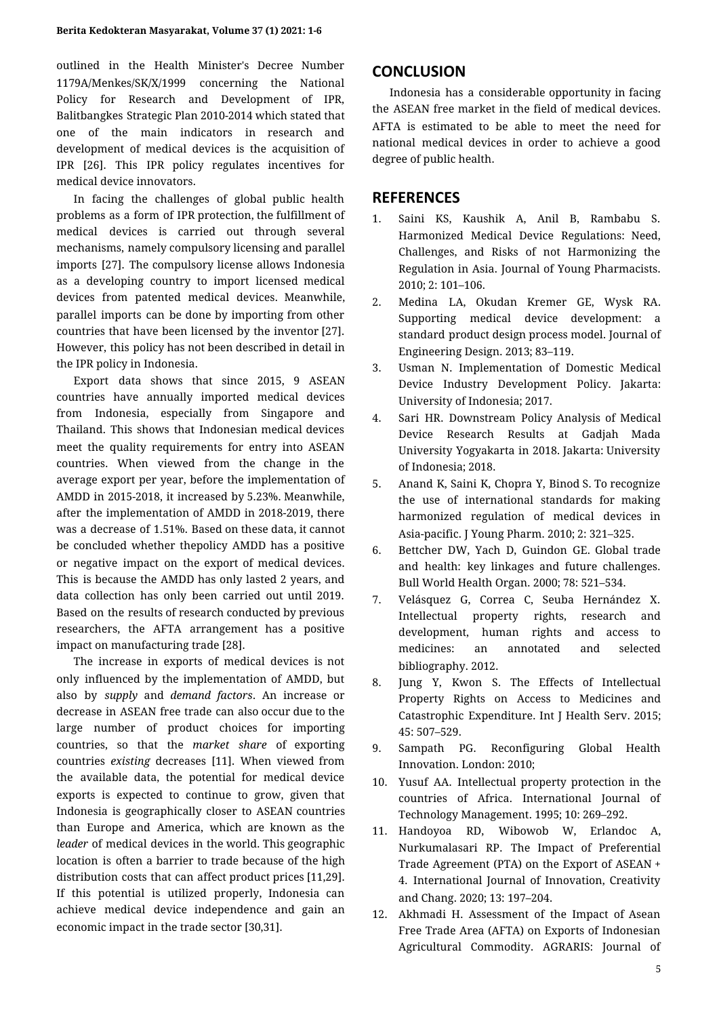outlined in the Health Minister's Decree Number 1179A/Menkes/SK/X/1999 concerning the National Policy for Research and Development of IPR, Balitbangkes Strategic Plan 2010-2014 which stated that one of the main indicators in research and development of medical devices is the acquisition of IPR [\[26\].](https://paperpile.com/c/jXDOJM/bU9c) This IPR policy regulates incentives for medical device innovators.

In facing the challenges of global public health problems as a form of IPR protection, the fulfillment of medical devices is carried out through several mechanisms, namely compulsory licensing and parallel imports [\[27\].](https://paperpile.com/c/jXDOJM/L6CJ) The compulsory license allows Indonesia as a developing country to import licensed medical devices from patented medical devices. Meanwhile, parallel imports can be done by importing from other countries that have been licensed by the inventor [\[27\]](https://paperpile.com/c/jXDOJM/L6CJ). However, this policy has not been described in detail in the IPR policy in Indonesia.

Export data shows that since 2015, 9 ASEAN countries have annually imported medical devices from Indonesia, especially from Singapore and Thailand. This shows that Indonesian medical devices meet the quality requirements for entry into ASEAN countries. When viewed from the change in the average export per year, before the implementation of AMDD in 2015-2018, it increased by 5.23%. Meanwhile, after the implementation of AMDD in 2018-2019, there was a decrease of 1.51%. Based on these data, it cannot be concluded whether thepolicy AMDD has a positive or negative impact on the export of medical devices. This is because the AMDD has only lasted 2 years, and data collection has only been carried out until 2019. Based on the results of research conducted by previous researchers, the AFTA arrangement has a positive impact on manufacturing trade [\[28\]](https://paperpile.com/c/jXDOJM/a7uZ).

The increase in exports of medical devices is not only influenced by the implementation of AMDD, but also by *supply* and *demand factors*. An increase or decrease in ASEAN free trade can also occur due to the large number of product choices for importing countries, so that the *market share* of exporting countries *existing* decreases [\[11\]](https://paperpile.com/c/jXDOJM/gBxj). When viewed from the available data, the potential for medical device exports is expected to continue to grow, given that Indonesia is geographically closer to ASEAN countries than Europe and America, which are known as the *leader* of medical devices in the world. This geographic location is often a barrier to trade because of the high distribution costs that can affect product prices [\[11,29\].](https://paperpile.com/c/jXDOJM/gBxj+VPPt) If this potential is utilized properly, Indonesia can achieve medical device independence and gain an economic impact in the trade sector [\[30,31\].](https://paperpile.com/c/jXDOJM/bNd4+yiYa)

## **CONCLUSION**

Indonesia has a considerable opportunity in facing the ASEAN free market in the field of medical devices. AFTA is estimated to be able to meet the need for national medical devices in order to achieve a good degree of public health.

## **REFERENCES**

- 1. Saini KS, Kaushik A, Anil B, [Rambabu](http://paperpile.com/b/jXDOJM/iKxN) S. [Harmonized](http://paperpile.com/b/jXDOJM/iKxN) Medical Device Regulations: Need, Challenges, and Risks of not [Harmonizing](http://paperpile.com/b/jXDOJM/iKxN) the Regulation in Asia. Journal of Young [Pharmacists.](http://paperpile.com/b/jXDOJM/iKxN) [2010; 2: 101–106.](http://paperpile.com/b/jXDOJM/iKxN)
- 2. Medina LA, [Okudan](http://paperpile.com/b/jXDOJM/HYkn) Kremer GE, Wysk RA. Supporting medical device [development:](http://paperpile.com/b/jXDOJM/HYkn) a [standard](http://paperpile.com/b/jXDOJM/HYkn) product design process model. Journal of [Engineering Design. 2013; 83–119.](http://paperpile.com/b/jXDOJM/HYkn)
- 3. Usman N. [Implementation](http://paperpile.com/b/jXDOJM/FtYI) of Domestic Medical Device Industry [Development](http://paperpile.com/b/jXDOJM/FtYI) Policy. Jakarta: [University of Indonesia; 2017.](http://paperpile.com/b/jXDOJM/FtYI)
- 4. Sari HR. [Downstream](http://paperpile.com/b/jXDOJM/LJW1) Policy Analysis of Medical Device [Research](http://paperpile.com/b/jXDOJM/LJW1) Results at Gadjah Mada University [Yogyakarta](http://paperpile.com/b/jXDOJM/LJW1) in 2018. Jakarta: University [of Indonesia; 2018.](http://paperpile.com/b/jXDOJM/LJW1)
- 5. Anand K, Saini K, Chopra Y, Binod S. To [recognize](http://paperpile.com/b/jXDOJM/peiT) the use of [international](http://paperpile.com/b/jXDOJM/peiT) standards for making [harmonized](http://paperpile.com/b/jXDOJM/peiT) regulation of medical devices in [Asia-pacific. J Young Pharm. 2010; 2: 321–325.](http://paperpile.com/b/jXDOJM/peiT)
- 6. Bettcher DW, Yach D, [Guindon](http://paperpile.com/b/jXDOJM/Srgb) GE. Global trade and health: key linkages and future [challenges.](http://paperpile.com/b/jXDOJM/Srgb) [Bull World Health Organ. 2000; 78: 521–534.](http://paperpile.com/b/jXDOJM/Srgb)
- 7. Velásquez G, Correa C, Seuba [Hernández](http://paperpile.com/b/jXDOJM/ZMrQ) X. [Intellectual](http://paperpile.com/b/jXDOJM/ZMrQ) property rights, research and [development,](http://paperpile.com/b/jXDOJM/ZMrQ) human rights and access to [medicines:](http://paperpile.com/b/jXDOJM/ZMrQ) an annotated and selected [bibliography. 2012.](http://paperpile.com/b/jXDOJM/ZMrQ)
- 8. Jung Y, Kwon S. The Effects of [Intellectual](http://paperpile.com/b/jXDOJM/gNer) Property Rights on Access to [Medicines](http://paperpile.com/b/jXDOJM/gNer) and Catastrophic [Expenditure.](http://paperpile.com/b/jXDOJM/gNer) Int J Health Serv. 2015; [45: 507–529.](http://paperpile.com/b/jXDOJM/gNer)
- 9. Sampath PG. [Reconfiguring](http://paperpile.com/b/jXDOJM/Nm0e) Global Health [Innovation. London: 2010;](http://paperpile.com/b/jXDOJM/Nm0e)
- 10. Yusuf AA. [Intellectual](http://paperpile.com/b/jXDOJM/KTEH) property protection in the countries of Africa. [International](http://paperpile.com/b/jXDOJM/KTEH) Journal of [Technology Management. 1995; 10: 269–292.](http://paperpile.com/b/jXDOJM/KTEH)
- 11. [Handoyoa](http://paperpile.com/b/jXDOJM/gBxj) RD, Wibowob W, Erlandoc A, [Nurkumalasari](http://paperpile.com/b/jXDOJM/gBxj) RP. The Impact of Preferential Trade [Agreement](http://paperpile.com/b/jXDOJM/gBxj) (PTA) on the Export of ASEAN + 4. [International](http://paperpile.com/b/jXDOJM/gBxj) Journal of Innovation, Creativity [and Chang. 2020; 13: 197–204.](http://paperpile.com/b/jXDOJM/gBxj)
- 12. Akhmadi H. [Assessment](http://paperpile.com/b/jXDOJM/K0Qk) of the Impact of Asean Free Trade Area (AFTA) on Exports of [Indonesian](http://paperpile.com/b/jXDOJM/K0Qk) [Agricultural](http://paperpile.com/b/jXDOJM/K0Qk) Commodity. AGRARIS: Journal of